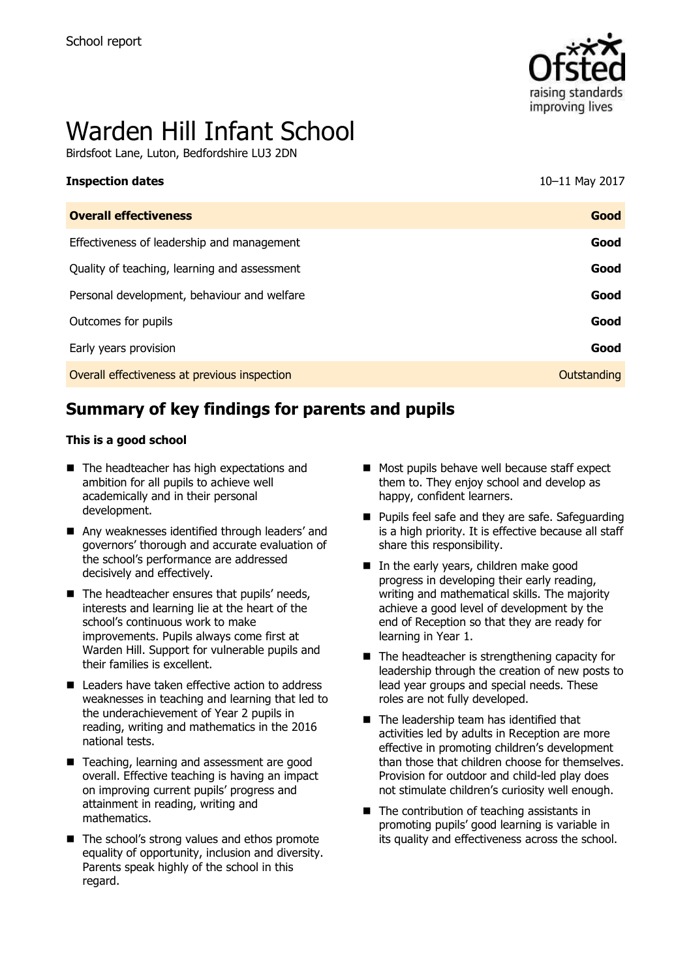

# Warden Hill Infant School

Birdsfoot Lane, Luton, Bedfordshire LU3 2DN

| 10-11 May 2017 |
|----------------|
| Good           |
| Good           |
| Good           |
|                |

Personal development, behaviour and welfare **Good Good** 

Outcomes for pupils **Good**

Early years provision **Good**

Overall effectiveness at previous inspection **COVERTIZE COVERTILE COVERTILE COVERTILE COVERTILE COVERTILE COVERTI** 

# **Summary of key findings for parents and pupils**

#### **This is a good school**

- The headteacher has high expectations and ambition for all pupils to achieve well academically and in their personal development.
- Any weaknesses identified through leaders' and governors' thorough and accurate evaluation of the school's performance are addressed decisively and effectively.
- $\blacksquare$  The headteacher ensures that pupils' needs, interests and learning lie at the heart of the school's continuous work to make improvements. Pupils always come first at Warden Hill. Support for vulnerable pupils and their families is excellent.
- Leaders have taken effective action to address weaknesses in teaching and learning that led to the underachievement of Year 2 pupils in reading, writing and mathematics in the 2016 national tests.
- Teaching, learning and assessment are good overall. Effective teaching is having an impact on improving current pupils' progress and attainment in reading, writing and mathematics.
- The school's strong values and ethos promote equality of opportunity, inclusion and diversity. Parents speak highly of the school in this regard.
- Most pupils behave well because staff expect them to. They enjoy school and develop as happy, confident learners.
- **Pupils feel safe and they are safe. Safeguarding** is a high priority. It is effective because all staff share this responsibility.
- In the early years, children make good progress in developing their early reading, writing and mathematical skills. The majority achieve a good level of development by the end of Reception so that they are ready for learning in Year 1.
- $\blacksquare$  The headteacher is strengthening capacity for leadership through the creation of new posts to lead year groups and special needs. These roles are not fully developed.
- The leadership team has identified that activities led by adults in Reception are more effective in promoting children's development than those that children choose for themselves. Provision for outdoor and child-led play does not stimulate children's curiosity well enough.
- $\blacksquare$  The contribution of teaching assistants in promoting pupils' good learning is variable in its quality and effectiveness across the school.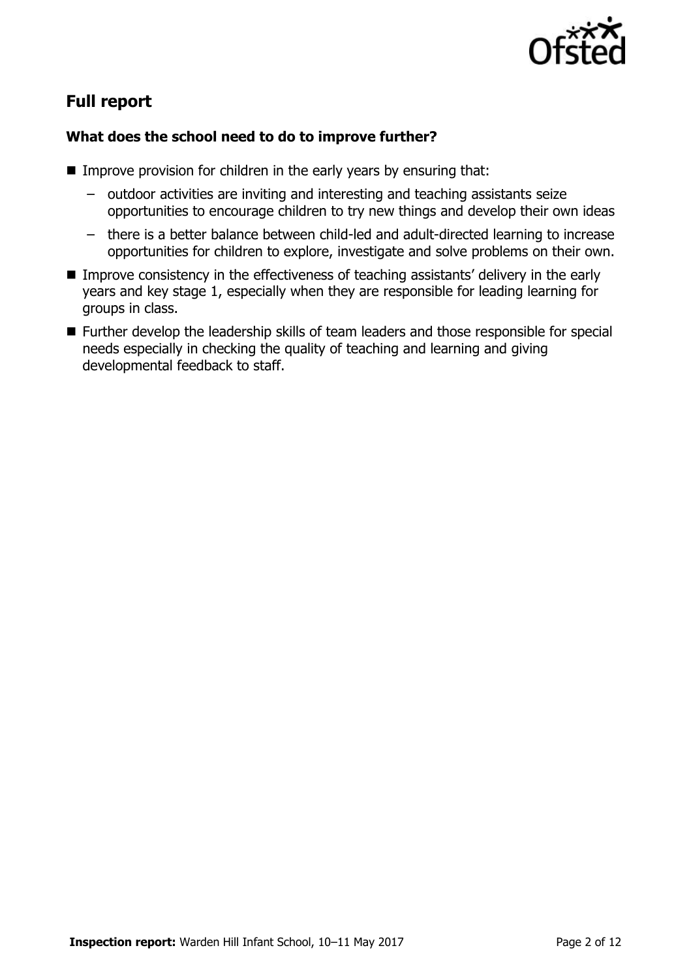

# **Full report**

### **What does the school need to do to improve further?**

- $\blacksquare$  Improve provision for children in the early years by ensuring that:
	- outdoor activities are inviting and interesting and teaching assistants seize opportunities to encourage children to try new things and develop their own ideas
	- there is a better balance between child-led and adult-directed learning to increase opportunities for children to explore, investigate and solve problems on their own.
- **IMPROVE CONSISTENCY IN the effectiveness of teaching assistants' delivery in the early** years and key stage 1, especially when they are responsible for leading learning for groups in class.
- Further develop the leadership skills of team leaders and those responsible for special needs especially in checking the quality of teaching and learning and giving developmental feedback to staff.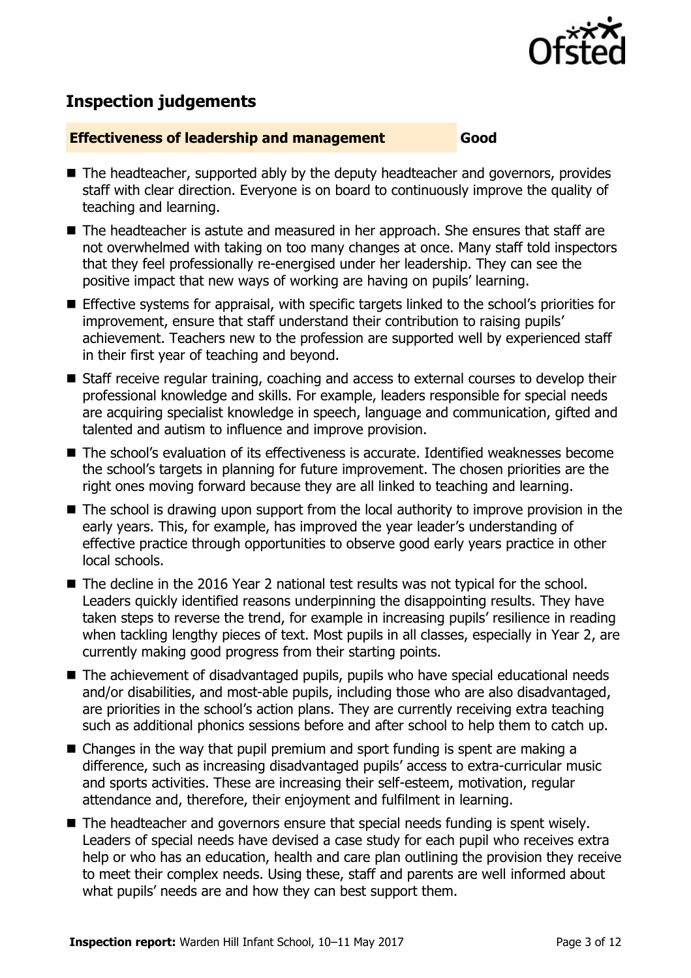

# **Inspection judgements**

#### **Effectiveness of leadership and management Good**

- The headteacher, supported ably by the deputy headteacher and governors, provides staff with clear direction. Everyone is on board to continuously improve the quality of teaching and learning.
- The headteacher is astute and measured in her approach. She ensures that staff are not overwhelmed with taking on too many changes at once. Many staff told inspectors that they feel professionally re-energised under her leadership. They can see the positive impact that new ways of working are having on pupils' learning.
- Effective systems for appraisal, with specific targets linked to the school's priorities for improvement, ensure that staff understand their contribution to raising pupils' achievement. Teachers new to the profession are supported well by experienced staff in their first year of teaching and beyond.
- Staff receive regular training, coaching and access to external courses to develop their professional knowledge and skills. For example, leaders responsible for special needs are acquiring specialist knowledge in speech, language and communication, gifted and talented and autism to influence and improve provision.
- The school's evaluation of its effectiveness is accurate. Identified weaknesses become the school's targets in planning for future improvement. The chosen priorities are the right ones moving forward because they are all linked to teaching and learning.
- The school is drawing upon support from the local authority to improve provision in the early years. This, for example, has improved the year leader's understanding of effective practice through opportunities to observe good early years practice in other local schools.
- The decline in the 2016 Year 2 national test results was not typical for the school. Leaders quickly identified reasons underpinning the disappointing results. They have taken steps to reverse the trend, for example in increasing pupils' resilience in reading when tackling lengthy pieces of text. Most pupils in all classes, especially in Year 2, are currently making good progress from their starting points.
- The achievement of disadvantaged pupils, pupils who have special educational needs and/or disabilities, and most-able pupils, including those who are also disadvantaged, are priorities in the school's action plans. They are currently receiving extra teaching such as additional phonics sessions before and after school to help them to catch up.
- Changes in the way that pupil premium and sport funding is spent are making a difference, such as increasing disadvantaged pupils' access to extra-curricular music and sports activities. These are increasing their self-esteem, motivation, regular attendance and, therefore, their enjoyment and fulfilment in learning.
- The headteacher and governors ensure that special needs funding is spent wisely. Leaders of special needs have devised a case study for each pupil who receives extra help or who has an education, health and care plan outlining the provision they receive to meet their complex needs. Using these, staff and parents are well informed about what pupils' needs are and how they can best support them.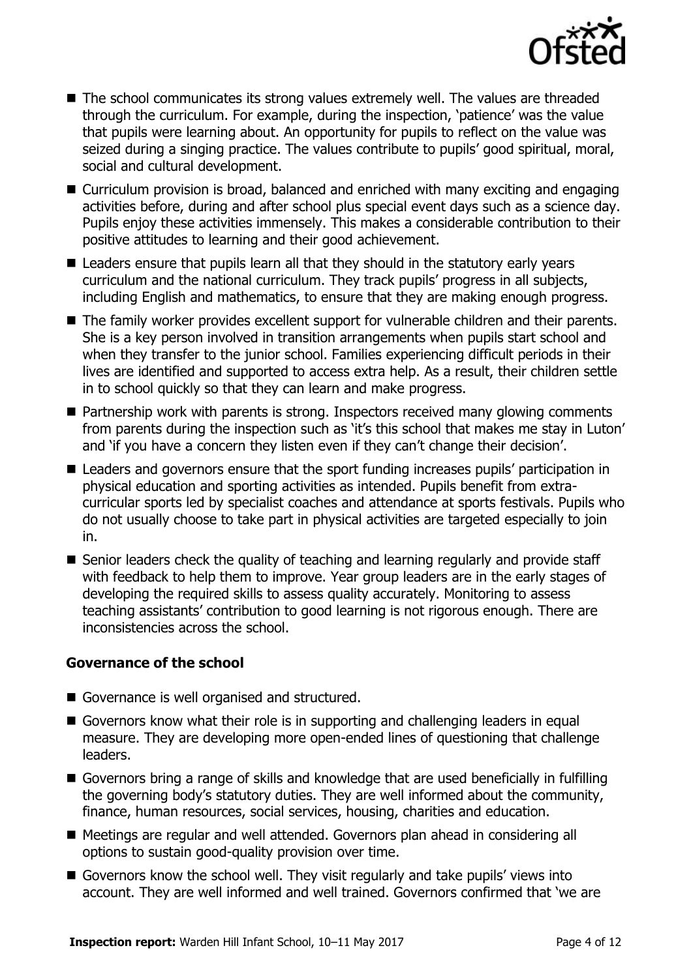

- The school communicates its strong values extremely well. The values are threaded through the curriculum. For example, during the inspection, 'patience' was the value that pupils were learning about. An opportunity for pupils to reflect on the value was seized during a singing practice. The values contribute to pupils' good spiritual, moral, social and cultural development.
- Curriculum provision is broad, balanced and enriched with many exciting and engaging activities before, during and after school plus special event days such as a science day. Pupils enjoy these activities immensely. This makes a considerable contribution to their positive attitudes to learning and their good achievement.
- Leaders ensure that pupils learn all that they should in the statutory early years curriculum and the national curriculum. They track pupils' progress in all subjects, including English and mathematics, to ensure that they are making enough progress.
- The family worker provides excellent support for vulnerable children and their parents. She is a key person involved in transition arrangements when pupils start school and when they transfer to the junior school. Families experiencing difficult periods in their lives are identified and supported to access extra help. As a result, their children settle in to school quickly so that they can learn and make progress.
- Partnership work with parents is strong. Inspectors received many glowing comments from parents during the inspection such as 'it's this school that makes me stay in Luton' and 'if you have a concern they listen even if they can't change their decision'.
- Leaders and governors ensure that the sport funding increases pupils' participation in physical education and sporting activities as intended. Pupils benefit from extracurricular sports led by specialist coaches and attendance at sports festivals. Pupils who do not usually choose to take part in physical activities are targeted especially to join in.
- Senior leaders check the quality of teaching and learning regularly and provide staff with feedback to help them to improve. Year group leaders are in the early stages of developing the required skills to assess quality accurately. Monitoring to assess teaching assistants' contribution to good learning is not rigorous enough. There are inconsistencies across the school.

### **Governance of the school**

- Governance is well organised and structured.
- Governors know what their role is in supporting and challenging leaders in equal measure. They are developing more open-ended lines of questioning that challenge leaders.
- Governors bring a range of skills and knowledge that are used beneficially in fulfilling the governing body's statutory duties. They are well informed about the community, finance, human resources, social services, housing, charities and education.
- Meetings are regular and well attended. Governors plan ahead in considering all options to sustain good-quality provision over time.
- Governors know the school well. They visit regularly and take pupils' views into account. They are well informed and well trained. Governors confirmed that 'we are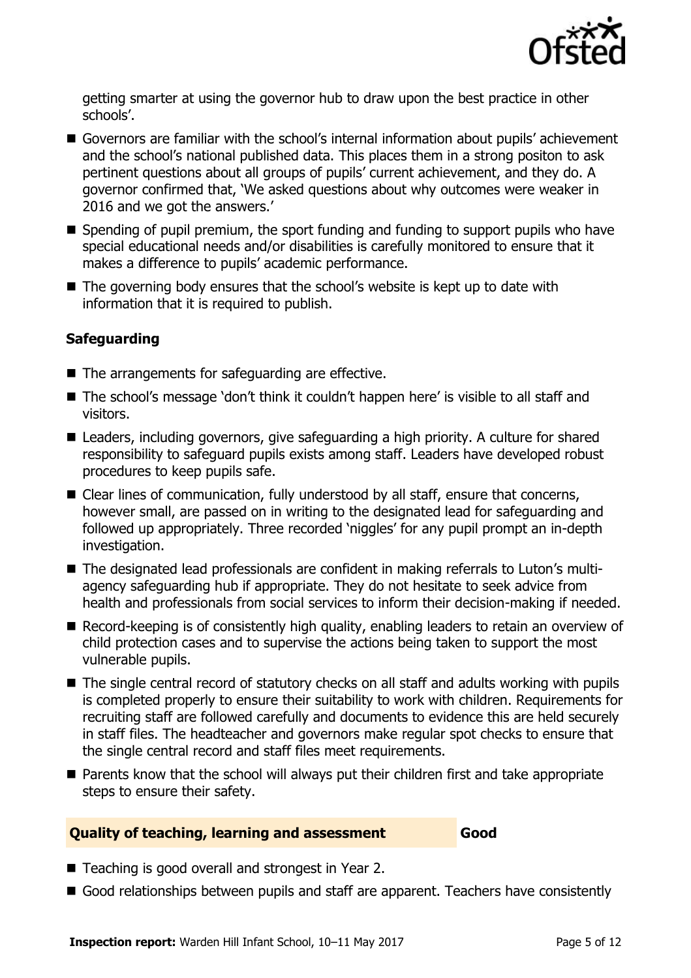

getting smarter at using the governor hub to draw upon the best practice in other schools'.

- Governors are familiar with the school's internal information about pupils' achievement and the school's national published data. This places them in a strong positon to ask pertinent questions about all groups of pupils' current achievement, and they do. A governor confirmed that, 'We asked questions about why outcomes were weaker in 2016 and we got the answers.'
- Spending of pupil premium, the sport funding and funding to support pupils who have special educational needs and/or disabilities is carefully monitored to ensure that it makes a difference to pupils' academic performance.
- The governing body ensures that the school's website is kept up to date with information that it is required to publish.

### **Safeguarding**

- The arrangements for safeguarding are effective.
- The school's message 'don't think it couldn't happen here' is visible to all staff and visitors.
- Leaders, including governors, give safeguarding a high priority. A culture for shared responsibility to safeguard pupils exists among staff. Leaders have developed robust procedures to keep pupils safe.
- Clear lines of communication, fully understood by all staff, ensure that concerns, however small, are passed on in writing to the designated lead for safeguarding and followed up appropriately. Three recorded 'niggles' for any pupil prompt an in-depth investigation.
- The designated lead professionals are confident in making referrals to Luton's multiagency safeguarding hub if appropriate. They do not hesitate to seek advice from health and professionals from social services to inform their decision-making if needed.
- Record-keeping is of consistently high quality, enabling leaders to retain an overview of child protection cases and to supervise the actions being taken to support the most vulnerable pupils.
- The single central record of statutory checks on all staff and adults working with pupils is completed properly to ensure their suitability to work with children. Requirements for recruiting staff are followed carefully and documents to evidence this are held securely in staff files. The headteacher and governors make regular spot checks to ensure that the single central record and staff files meet requirements.
- **Parents know that the school will always put their children first and take appropriate** steps to ensure their safety.

#### **Quality of teaching, learning and assessment Good**

- Teaching is good overall and strongest in Year 2.
- Good relationships between pupils and staff are apparent. Teachers have consistently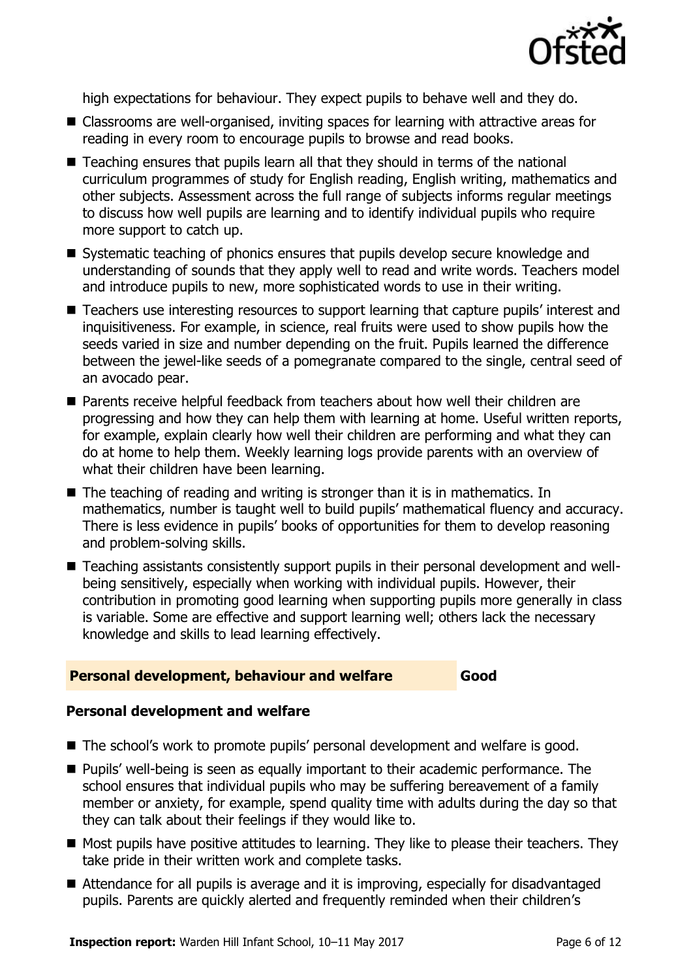

high expectations for behaviour. They expect pupils to behave well and they do.

- Classrooms are well-organised, inviting spaces for learning with attractive areas for reading in every room to encourage pupils to browse and read books.
- Teaching ensures that pupils learn all that they should in terms of the national curriculum programmes of study for English reading, English writing, mathematics and other subjects. Assessment across the full range of subjects informs regular meetings to discuss how well pupils are learning and to identify individual pupils who require more support to catch up.
- Systematic teaching of phonics ensures that pupils develop secure knowledge and understanding of sounds that they apply well to read and write words. Teachers model and introduce pupils to new, more sophisticated words to use in their writing.
- Teachers use interesting resources to support learning that capture pupils' interest and inquisitiveness. For example, in science, real fruits were used to show pupils how the seeds varied in size and number depending on the fruit. Pupils learned the difference between the jewel-like seeds of a pomegranate compared to the single, central seed of an avocado pear.
- **Parents receive helpful feedback from teachers about how well their children are** progressing and how they can help them with learning at home. Useful written reports, for example, explain clearly how well their children are performing and what they can do at home to help them. Weekly learning logs provide parents with an overview of what their children have been learning.
- The teaching of reading and writing is stronger than it is in mathematics. In mathematics, number is taught well to build pupils' mathematical fluency and accuracy. There is less evidence in pupils' books of opportunities for them to develop reasoning and problem-solving skills.
- Teaching assistants consistently support pupils in their personal development and wellbeing sensitively, especially when working with individual pupils. However, their contribution in promoting good learning when supporting pupils more generally in class is variable. Some are effective and support learning well; others lack the necessary knowledge and skills to lead learning effectively.

#### **Personal development, behaviour and welfare Good**

#### **Personal development and welfare**

- The school's work to promote pupils' personal development and welfare is good.
- **Pupils'** well-being is seen as equally important to their academic performance. The school ensures that individual pupils who may be suffering bereavement of a family member or anxiety, for example, spend quality time with adults during the day so that they can talk about their feelings if they would like to.
- **Most pupils have positive attitudes to learning. They like to please their teachers. They** take pride in their written work and complete tasks.
- Attendance for all pupils is average and it is improving, especially for disadvantaged pupils. Parents are quickly alerted and frequently reminded when their children's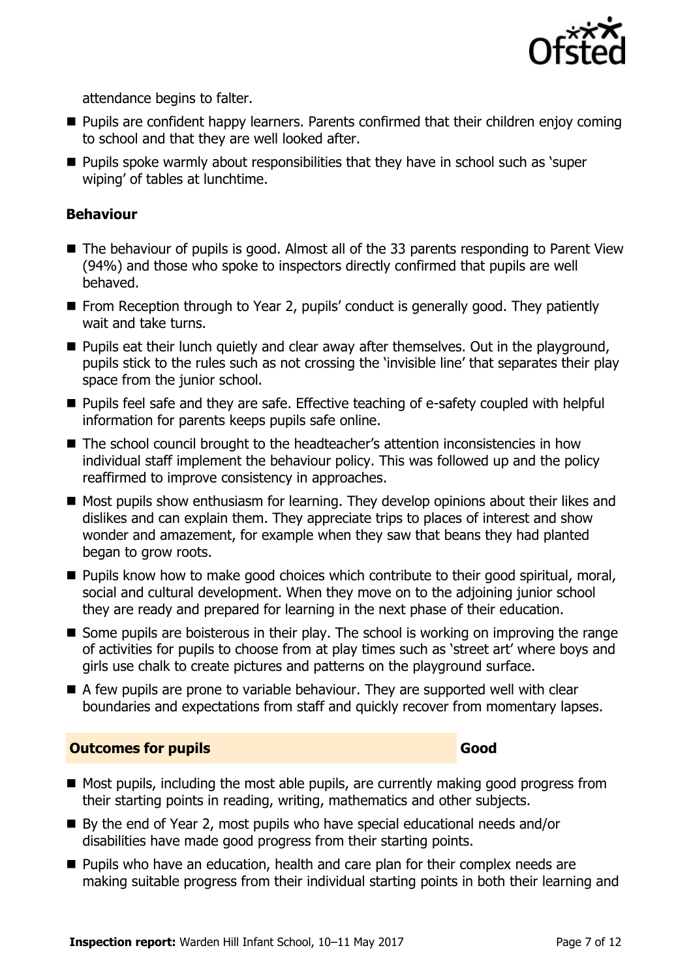

attendance begins to falter.

- **Pupils are confident happy learners. Parents confirmed that their children enjoy coming** to school and that they are well looked after.
- **Pupils spoke warmly about responsibilities that they have in school such as 'super** wiping' of tables at lunchtime.

#### **Behaviour**

- The behaviour of pupils is good. Almost all of the 33 parents responding to Parent View (94%) and those who spoke to inspectors directly confirmed that pupils are well behaved.
- **From Reception through to Year 2, pupils' conduct is generally good. They patiently** wait and take turns.
- **Pupils eat their lunch quietly and clear away after themselves. Out in the playground,** pupils stick to the rules such as not crossing the 'invisible line' that separates their play space from the junior school.
- **Pupils feel safe and they are safe. Effective teaching of e-safety coupled with helpful** information for parents keeps pupils safe online.
- The school council brought to the headteacher's attention inconsistencies in how individual staff implement the behaviour policy. This was followed up and the policy reaffirmed to improve consistency in approaches.
- Most pupils show enthusiasm for learning. They develop opinions about their likes and dislikes and can explain them. They appreciate trips to places of interest and show wonder and amazement, for example when they saw that beans they had planted began to grow roots.
- **Pupils know how to make good choices which contribute to their good spiritual, moral,** social and cultural development. When they move on to the adjoining junior school they are ready and prepared for learning in the next phase of their education.
- Some pupils are boisterous in their play. The school is working on improving the range of activities for pupils to choose from at play times such as 'street art' where boys and girls use chalk to create pictures and patterns on the playground surface.
- A few pupils are prone to variable behaviour. They are supported well with clear boundaries and expectations from staff and quickly recover from momentary lapses.

### **Outcomes for pupils Good**

- Most pupils, including the most able pupils, are currently making good progress from their starting points in reading, writing, mathematics and other subjects.
- By the end of Year 2, most pupils who have special educational needs and/or disabilities have made good progress from their starting points.
- **Pupils who have an education, health and care plan for their complex needs are** making suitable progress from their individual starting points in both their learning and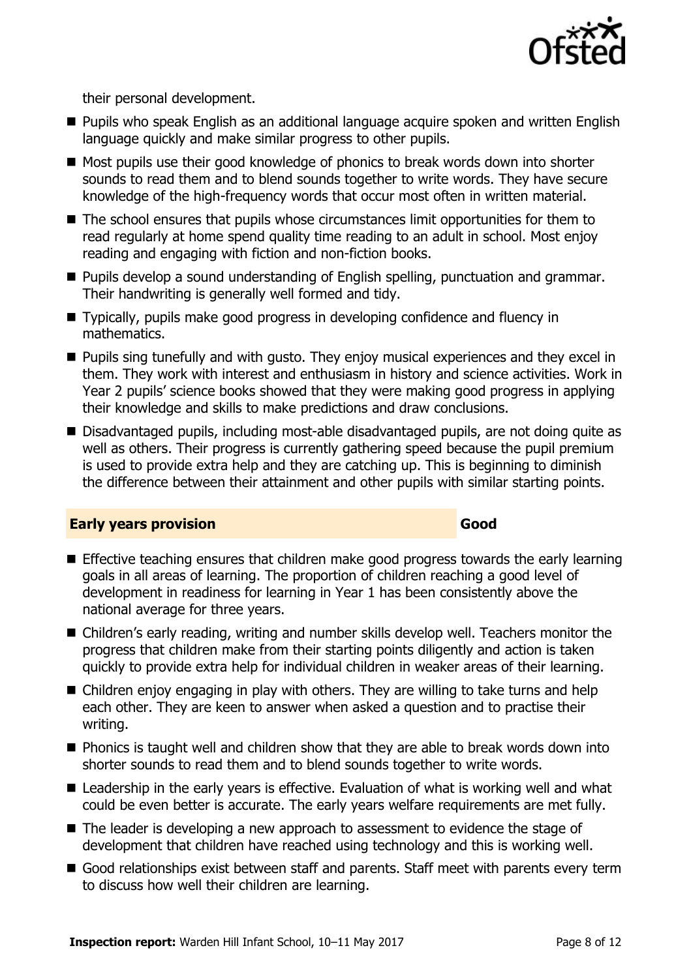

their personal development.

- **Pupils who speak English as an additional language acquire spoken and written English** language quickly and make similar progress to other pupils.
- Most pupils use their good knowledge of phonics to break words down into shorter sounds to read them and to blend sounds together to write words. They have secure knowledge of the high-frequency words that occur most often in written material.
- The school ensures that pupils whose circumstances limit opportunities for them to read regularly at home spend quality time reading to an adult in school. Most enjoy reading and engaging with fiction and non-fiction books.
- **Pupils develop a sound understanding of English spelling, punctuation and grammar.** Their handwriting is generally well formed and tidy.
- Typically, pupils make good progress in developing confidence and fluency in mathematics.
- **Pupils sing tunefully and with gusto. They enjoy musical experiences and they excel in** them. They work with interest and enthusiasm in history and science activities. Work in Year 2 pupils' science books showed that they were making good progress in applying their knowledge and skills to make predictions and draw conclusions.
- Disadvantaged pupils, including most-able disadvantaged pupils, are not doing quite as well as others. Their progress is currently gathering speed because the pupil premium is used to provide extra help and they are catching up. This is beginning to diminish the difference between their attainment and other pupils with similar starting points.

#### **Early years provision Good Good**

- **Effective teaching ensures that children make good progress towards the early learning** goals in all areas of learning. The proportion of children reaching a good level of development in readiness for learning in Year 1 has been consistently above the national average for three years.
- Children's early reading, writing and number skills develop well. Teachers monitor the progress that children make from their starting points diligently and action is taken quickly to provide extra help for individual children in weaker areas of their learning.
- Children enjoy engaging in play with others. They are willing to take turns and help each other. They are keen to answer when asked a question and to practise their writing.
- $\blacksquare$  Phonics is taught well and children show that they are able to break words down into shorter sounds to read them and to blend sounds together to write words.
- Leadership in the early years is effective. Evaluation of what is working well and what could be even better is accurate. The early years welfare requirements are met fully.
- The leader is developing a new approach to assessment to evidence the stage of development that children have reached using technology and this is working well.
- Good relationships exist between staff and parents. Staff meet with parents every term to discuss how well their children are learning.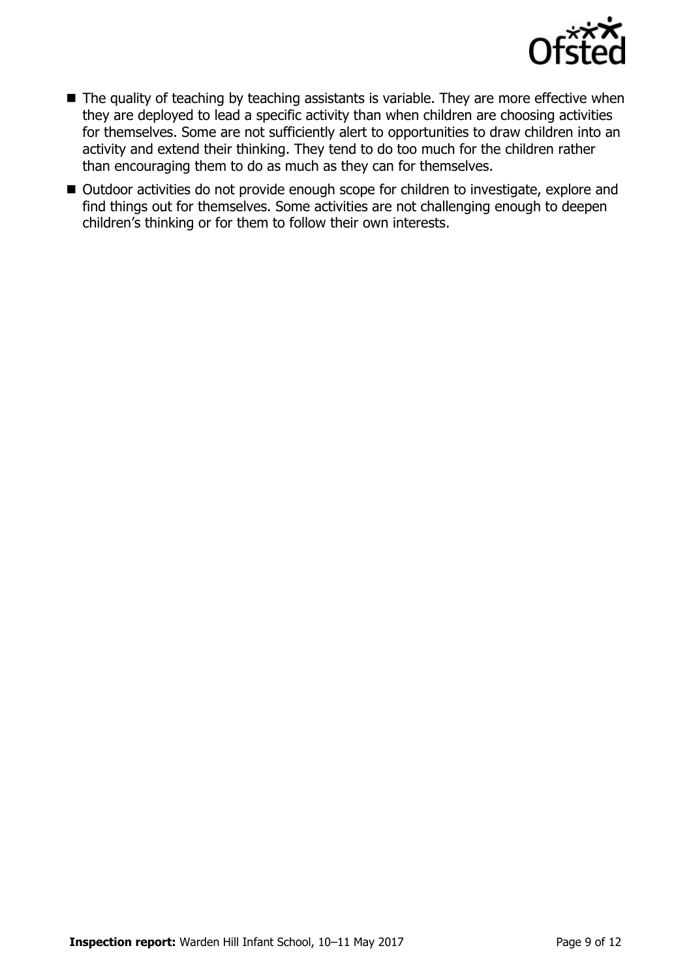

- $\blacksquare$  The quality of teaching by teaching assistants is variable. They are more effective when they are deployed to lead a specific activity than when children are choosing activities for themselves. Some are not sufficiently alert to opportunities to draw children into an activity and extend their thinking. They tend to do too much for the children rather than encouraging them to do as much as they can for themselves.
- Outdoor activities do not provide enough scope for children to investigate, explore and find things out for themselves. Some activities are not challenging enough to deepen children's thinking or for them to follow their own interests.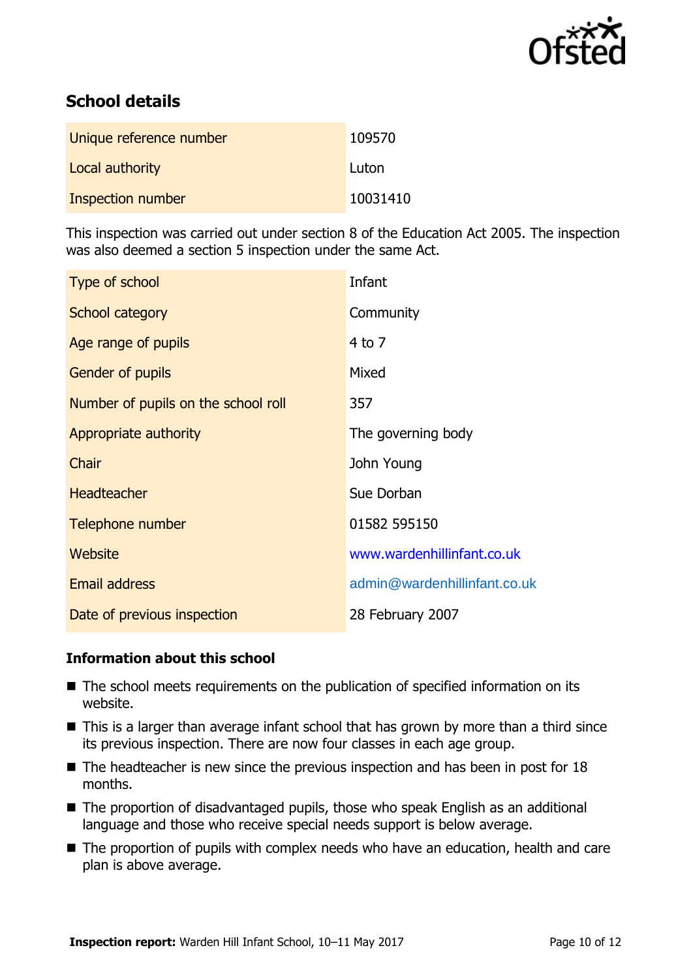

# **School details**

| Unique reference number | 109570   |
|-------------------------|----------|
| Local authority         | Luton    |
| Inspection number       | 10031410 |

This inspection was carried out under section 8 of the Education Act 2005. The inspection was also deemed a section 5 inspection under the same Act.

| Type of school                      | Infant                       |
|-------------------------------------|------------------------------|
| School category                     | Community                    |
| Age range of pupils                 | $4$ to $7$                   |
| Gender of pupils                    | Mixed                        |
| Number of pupils on the school roll | 357                          |
| Appropriate authority               | The governing body           |
| Chair                               | John Young                   |
| <b>Headteacher</b>                  | Sue Dorban                   |
| Telephone number                    | 01582 595150                 |
| Website                             | www.wardenhillinfant.co.uk   |
| Email address                       | admin@wardenhillinfant.co.uk |
| Date of previous inspection         | 28 February 2007             |

#### **Information about this school**

- The school meets requirements on the publication of specified information on its website.
- This is a larger than average infant school that has grown by more than a third since its previous inspection. There are now four classes in each age group.
- $\blacksquare$  The headteacher is new since the previous inspection and has been in post for 18 months.
- The proportion of disadvantaged pupils, those who speak English as an additional language and those who receive special needs support is below average.
- The proportion of pupils with complex needs who have an education, health and care plan is above average.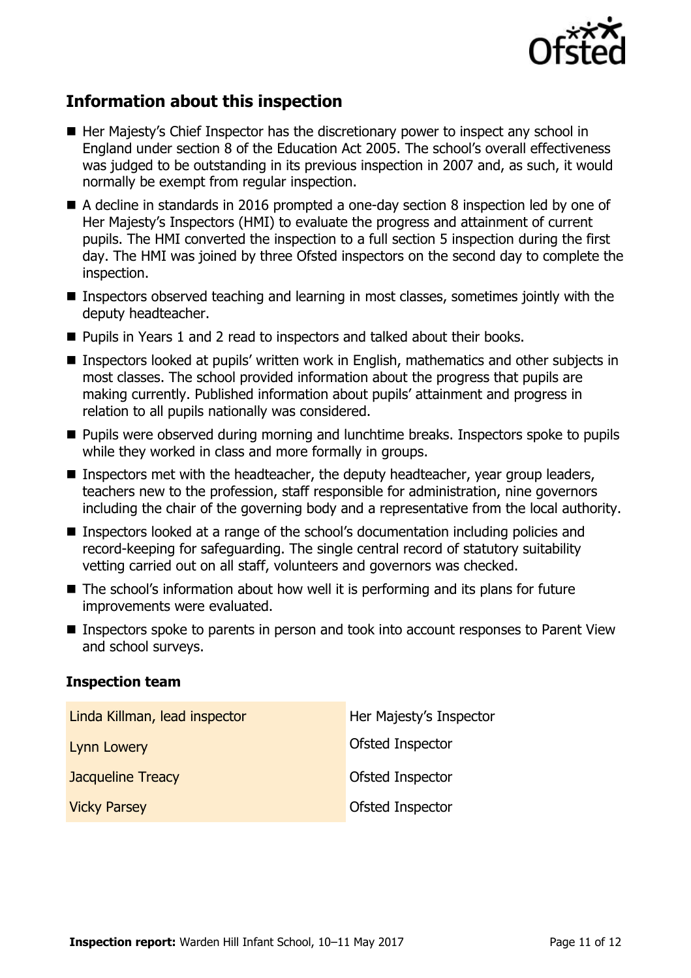

## **Information about this inspection**

- Her Majesty's Chief Inspector has the discretionary power to inspect any school in England under section 8 of the Education Act 2005. The school's overall effectiveness was judged to be outstanding in its previous inspection in 2007 and, as such, it would normally be exempt from regular inspection.
- A decline in standards in 2016 prompted a one-day section 8 inspection led by one of Her Majesty's Inspectors (HMI) to evaluate the progress and attainment of current pupils. The HMI converted the inspection to a full section 5 inspection during the first day. The HMI was joined by three Ofsted inspectors on the second day to complete the inspection.
- Inspectors observed teaching and learning in most classes, sometimes jointly with the deputy headteacher.
- Pupils in Years 1 and 2 read to inspectors and talked about their books.
- Inspectors looked at pupils' written work in English, mathematics and other subjects in most classes. The school provided information about the progress that pupils are making currently. Published information about pupils' attainment and progress in relation to all pupils nationally was considered.
- **Pupils were observed during morning and lunchtime breaks. Inspectors spoke to pupils** while they worked in class and more formally in groups.
- Inspectors met with the headteacher, the deputy headteacher, year group leaders, teachers new to the profession, staff responsible for administration, nine governors including the chair of the governing body and a representative from the local authority.
- Inspectors looked at a range of the school's documentation including policies and record-keeping for safeguarding. The single central record of statutory suitability vetting carried out on all staff, volunteers and governors was checked.
- The school's information about how well it is performing and its plans for future improvements were evaluated.
- Inspectors spoke to parents in person and took into account responses to Parent View and school surveys.

#### **Inspection team**

| Linda Killman, lead inspector | Her Majesty's Inspector |
|-------------------------------|-------------------------|
| <b>Lynn Lowery</b>            | Ofsted Inspector        |
| <b>Jacqueline Treacy</b>      | Ofsted Inspector        |
| <b>Vicky Parsey</b>           | Ofsted Inspector        |